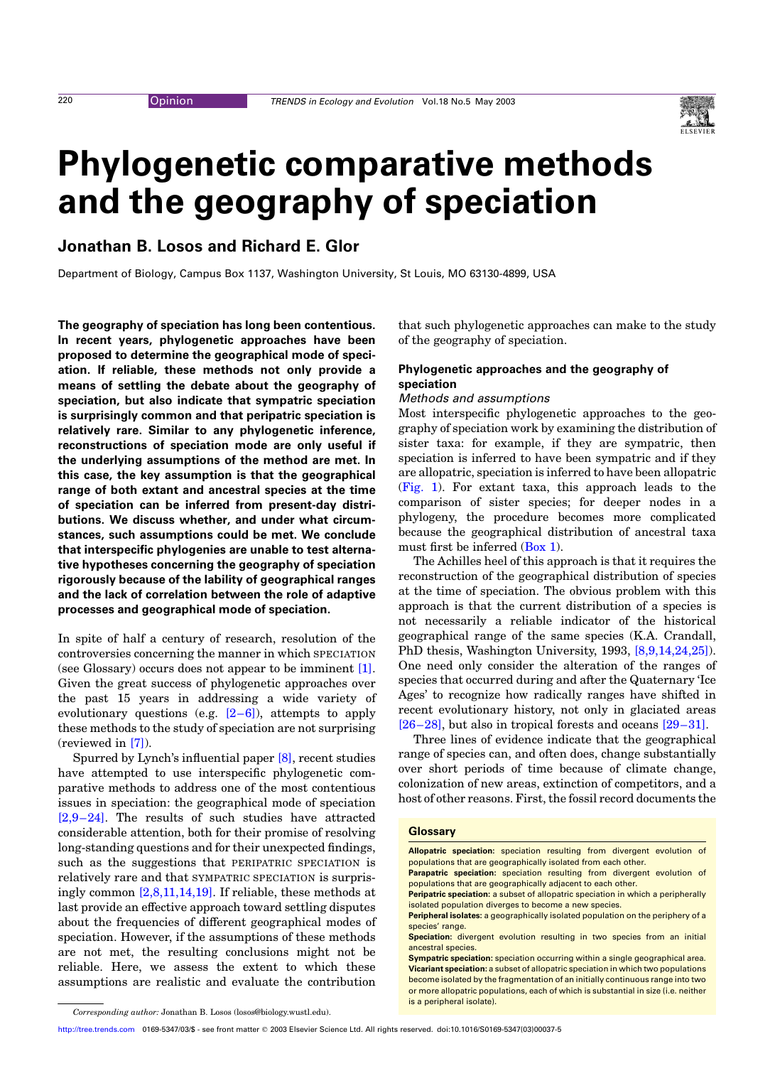# Phylogenetic comparative methods and the geography of speciation

Jonathan B. Losos and Richard E. Glor

Department of Biology, Campus Box 1137, Washington University, St Louis, MO 63130-4899, USA

The geography of speciation has long been contentious. In recent years, phylogenetic approaches have been proposed to determine the geographical mode of speciation. If reliable, these methods not only provide a means of settling the debate about the geography of speciation, but also indicate that sympatric speciation is surprisingly common and that peripatric speciation is relatively rare. Similar to any phylogenetic inference, reconstructions of speciation mode are only useful if the underlying assumptions of the method are met. In this case, the key assumption is that the geographical range of both extant and ancestral species at the time of speciation can be inferred from present-day distributions. We discuss whether, and under what circumstances, such assumptions could be met. We conclude that interspecific phylogenies are unable to test alternative hypotheses concerning the geography of speciation rigorously because of the lability of geographical ranges and the lack of correlation between the role of adaptive processes and geographical mode of speciation.

In spite of half a century of research, resolution of the controversies concerning the manner in which SPECIATION (see Glossary) occurs does not appear to be imminent [\[1\]](#page-6-0). Given the great success of phylogenetic approaches over the past 15 years in addressing a wide variety of evolutionary questions (e.g.  $[2-6]$ ), attempts to apply these methods to the study of speciation are not surprising (reviewed in [\[7\]](#page-6-0)).

Spurred by Lynch's influential paper [\[8\],](#page-6-0) recent studies have attempted to use interspecific phylogenetic comparative methods to address one of the most contentious issues in speciation: the geographical mode of speciation  $[2,9-24]$ . The results of such studies have attracted considerable attention, both for their promise of resolving long-standing questions and for their unexpected findings, such as the suggestions that PERIPATRIC SPECIATION is relatively rare and that SYMPATRIC SPECIATION is surprisingly common [\[2,8,11,14,19\]](#page-6-0). If reliable, these methods at last provide an effective approach toward settling disputes about the frequencies of different geographical modes of speciation. However, if the assumptions of these methods are not met, the resulting conclusions might not be reliable. Here, we assess the extent to which these assumptions are realistic and evaluate the contribution

that such phylogenetic approaches can make to the study of the geography of speciation.

# Phylogenetic approaches and the geography of speciation

# Methods and assumptions

Most interspecific phylogenetic approaches to the geography of speciation work by examining the distribution of sister taxa: for example, if they are sympatric, then speciation is inferred to have been sympatric and if they are allopatric, speciation is inferred to have been allopatric ([Fig. 1](#page-1-0)). For extant taxa, this approach leads to the comparison of sister species; for deeper nodes in a phylogeny, the procedure becomes more complicated because the geographical distribution of ancestral taxa must first be inferred ([Box 1](#page-1-0)).

The Achilles heel of this approach is that it requires the reconstruction of the geographical distribution of species at the time of speciation. The obvious problem with this approach is that the current distribution of a species is not necessarily a reliable indicator of the historical geographical range of the same species (K.A. Crandall, PhD thesis, Washington University, 1993, [\[8,9,14,24,25\]](#page-6-0)). One need only consider the alteration of the ranges of species that occurred during and after the Quaternary 'Ice Ages' to recognize how radically ranges have shifted in recent evolutionary history, not only in glaciated areas [\[26–28\]](#page-6-0), but also in tropical forests and oceans [\[29–31\].](#page-6-0)

Three lines of evidence indicate that the geographical range of species can, and often does, change substantially over short periods of time because of climate change, colonization of new areas, extinction of competitors, and a host of other reasons. First, the fossil record documents the

#### **Glossarv**

Allopatric speciation: speciation resulting from divergent evolution of populations that are geographically isolated from each other. Parapatric speciation: speciation resulting from divergent evolution of populations that are geographically adjacent to each other. Peripatric speciation: a subset of allopatric speciation in which a peripherally

isolated population diverges to become a new species. Peripheral isolates: a geographically isolated population on the periphery of a

species' range. Speciation: divergent evolution resulting in two species from an initial

ancestral species.

Sympatric speciation: speciation occurring within a single geographical area. Vicariant speciation: a subset of allopatric speciation in which two populations become isolated by the fragmentation of an initially continuous range into two or more allopatric populations, each of which is substantial in size (i.e. neither is a peripheral isolate).

Corresponding author: Jonathan B. Losos (losos@biology.wustl.edu).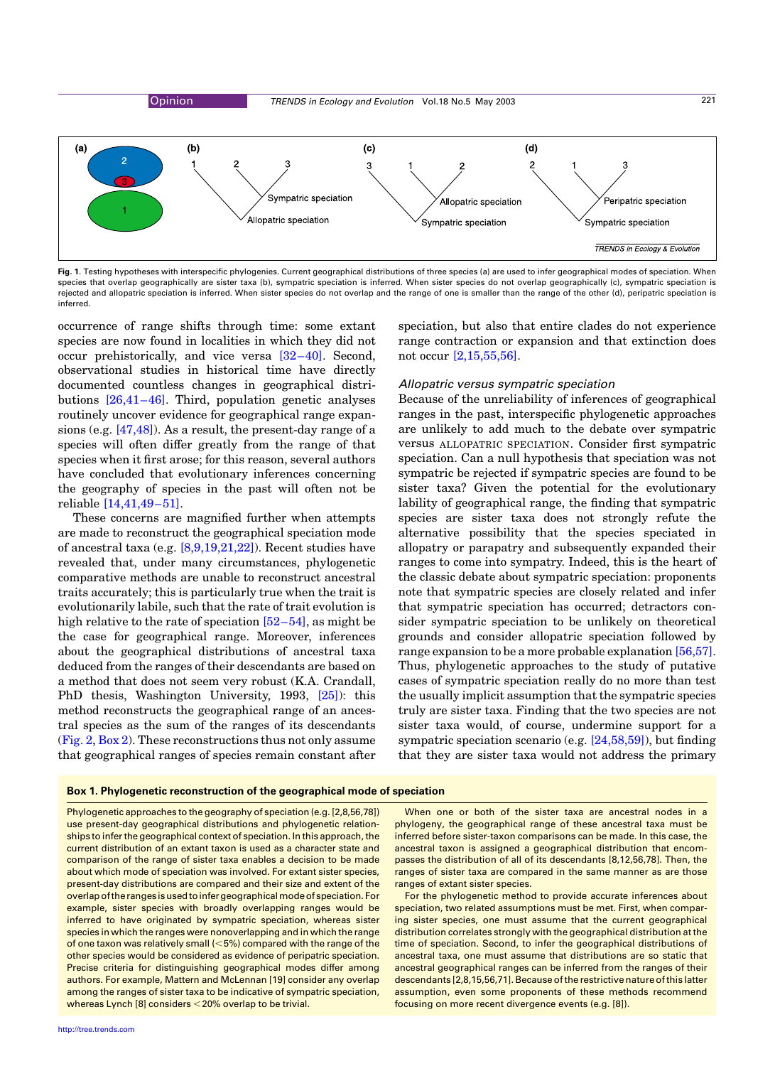<span id="page-1-0"></span>

Fig. 1. Testing hypotheses with interspecific phylogenies. Current geographical distributions of three species (a) are used to infer geographical modes of speciation. When species that overlap geographically are sister taxa (b), sympatric speciation is inferred. When sister species do not overlap geographically (c), sympatric speciation is rejected and allopatric speciation is inferred. When sister species do not overlap and the range of one is smaller than the range of the other (d), peripatric speciation is inferred.

occurrence of range shifts through time: some extant species are now found in localities in which they did not occur prehistorically, and vice versa [\[32–40\].](#page-6-0) Second, observational studies in historical time have directly documented countless changes in geographical distributions [\[26,41–46\].](#page-6-0) Third, population genetic analyses routinely uncover evidence for geographical range expansions (e.g. [\[47,48\]](#page-7-0)). As a result, the present-day range of a species will often differ greatly from the range of that species when it first arose; for this reason, several authors have concluded that evolutionary inferences concerning the geography of species in the past will often not be reliable [\[14,41,49–51\]](#page-6-0).

These concerns are magnified further when attempts are made to reconstruct the geographical speciation mode of ancestral taxa (e.g. [\[8,9,19,21,22\]](#page-6-0)). Recent studies have revealed that, under many circumstances, phylogenetic comparative methods are unable to reconstruct ancestral traits accurately; this is particularly true when the trait is evolutionarily labile, such that the rate of trait evolution is high relative to the rate of speciation [\[52–54\],](#page-7-0) as might be the case for geographical range. Moreover, inferences about the geographical distributions of ancestral taxa deduced from the ranges of their descendants are based on a method that does not seem very robust (K.A. Crandall, PhD thesis, Washington University, 1993, [\[25\]\)](#page-6-0): this method reconstructs the geographical range of an ancestral species as the sum of the ranges of its descendants ([Fig. 2](#page-2-0), [Box 2](#page-2-0)). These reconstructions thus not only assume that geographical ranges of species remain constant after speciation, but also that entire clades do not experience range contraction or expansion and that extinction does not occur [\[2,15,55,56\].](#page-6-0)

#### Allopatric versus sympatric speciation

Because of the unreliability of inferences of geographical ranges in the past, interspecific phylogenetic approaches are unlikely to add much to the debate over sympatric versus ALLOPATRIC SPECIATION. Consider first sympatric speciation. Can a null hypothesis that speciation was not sympatric be rejected if sympatric species are found to be sister taxa? Given the potential for the evolutionary lability of geographical range, the finding that sympatric species are sister taxa does not strongly refute the alternative possibility that the species speciated in allopatry or parapatry and subsequently expanded their ranges to come into sympatry. Indeed, this is the heart of the classic debate about sympatric speciation: proponents note that sympatric species are closely related and infer that sympatric speciation has occurred; detractors consider sympatric speciation to be unlikely on theoretical grounds and consider allopatric speciation followed by range expansion to be a more probable explanation [\[56,57\]](#page-7-0). Thus, phylogenetic approaches to the study of putative cases of sympatric speciation really do no more than test the usually implicit assumption that the sympatric species truly are sister taxa. Finding that the two species are not sister taxa would, of course, undermine support for a sympatric speciation scenario (e.g. [\[24,58,59\]\)](#page-6-0), but finding that they are sister taxa would not address the primary

#### Box 1. Phylogenetic reconstruction of the geographical mode of speciation

Phylogenetic approaches to the geography of speciation (e.g. [2,8,56,78]) use present-day geographical distributions and phylogenetic relationships to infer the geographical context of speciation. In this approach, the current distribution of an extant taxon is used as a character state and comparison of the range of sister taxa enables a decision to be made about which mode of speciation was involved. For extant sister species, present-day distributions are compared and their size and extent of the overlapoftherangesisusedtoinfergeographicalmodeofspeciation.For example, sister species with broadly overlapping ranges would be inferred to have originated by sympatric speciation, whereas sister species in which the ranges were nonoverlapping and in which the range of one taxon was relatively small  $(<5%)$  compared with the range of the other species would be considered as evidence of peripatric speciation. Precise criteria for distinguishing geographical modes differ among authors. For example, Mattern and McLennan [19] consider any overlap among the ranges of sister taxa to be indicative of sympatric speciation, whereas Lynch  $[8]$  considers  $<$  20% overlap to be trivial.

When one or both of the sister taxa are ancestral nodes in a phylogeny, the geographical range of these ancestral taxa must be inferred before sister-taxon comparisons can be made. In this case, the ancestral taxon is assigned a geographical distribution that encompasses the distribution of all of its descendants [8,12,56,78]. Then, the ranges of sister taxa are compared in the same manner as are those ranges of extant sister species.

For the phylogenetic method to provide accurate inferences about speciation, two related assumptions must be met. First, when comparing sister species, one must assume that the current geographical distribution correlates strongly with the geographical distribution at the time of speciation. Second, to infer the geographical distributions of ancestral taxa, one must assume that distributions are so static that ancestral geographical ranges can be inferred from the ranges of their descendants [2,8,15,56,71]. Because of the restrictive nature of this latter assumption, even some proponents of these methods recommend focusing on more recent divergence events (e.g. [8]).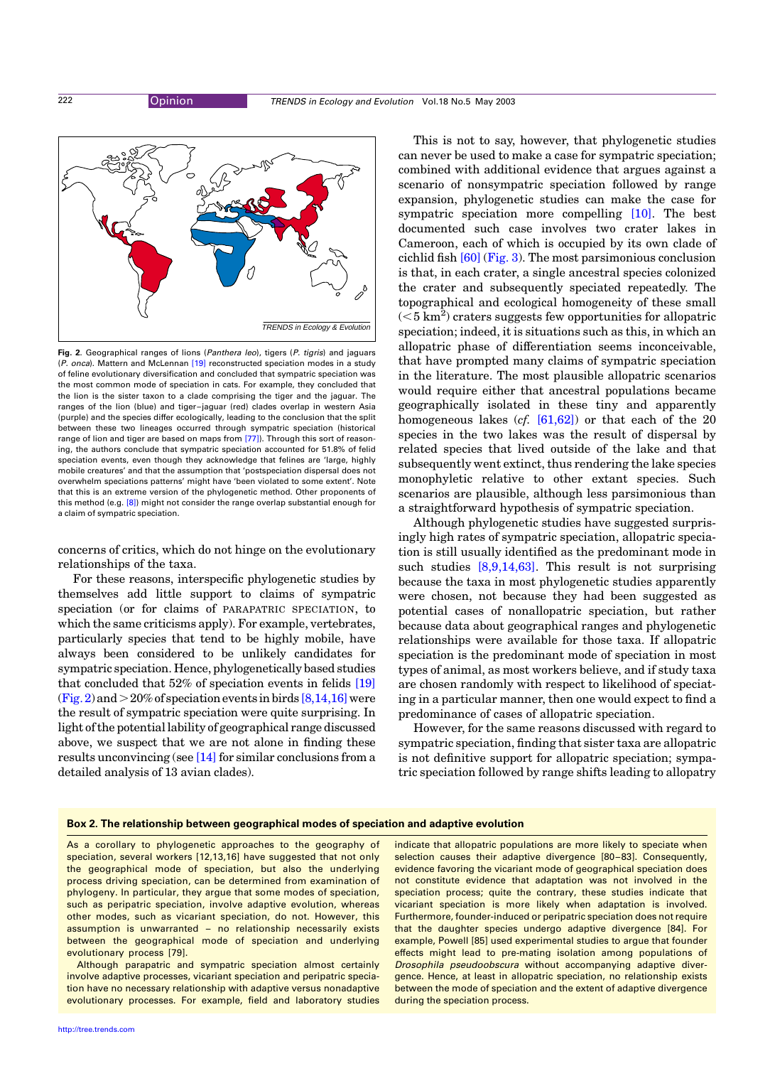<span id="page-2-0"></span>



Fig. 2. Geographical ranges of lions (Panthera leo), tigers (P. tigris) and jaguars (P. onca). Mattern and McLennan [\[19\]](#page-6-0) reconstructed speciation modes in a study of feline evolutionary diversification and concluded that sympatric speciation was the most common mode of speciation in cats. For example, they concluded that the lion is the sister taxon to a clade comprising the tiger and the jaguar. The ranges of the lion (blue) and tiger–jaguar (red) clades overlap in western Asia (purple) and the species differ ecologically, leading to the conclusion that the split between these two lineages occurred through sympatric speciation (historical range of lion and tiger are based on maps from [\[77\]\)](#page-7-0). Through this sort of reasoning, the authors conclude that sympatric speciation accounted for 51.8% of felid speciation events, even though they acknowledge that felines are 'large, highly mobile creatures' and that the assumption that 'postspeciation dispersal does not overwhelm speciations patterns' might have 'been violated to some extent'. Note that this is an extreme version of the phylogenetic method. Other proponents of this method (e.g. [\[8\]\)](#page-6-0) might not consider the range overlap substantial enough for a claim of sympatric speciation.

concerns of critics, which do not hinge on the evolutionary relationships of the taxa.

For these reasons, interspecific phylogenetic studies by themselves add little support to claims of sympatric speciation (or for claims of PARAPATRIC SPECIATION, to which the same criticisms apply). For example, vertebrates, particularly species that tend to be highly mobile, have always been considered to be unlikely candidates for sympatric speciation. Hence, phylogenetically based studies that concluded that 52% of speciation events in felids [\[19\]](#page-6-0) (Fig. 2) and  $>$  20% of speciation events in birds [\[8,14,16\]](#page-6-0) were the result of sympatric speciation were quite surprising. In light of the potential lability of geographical range discussed above, we suspect that we are not alone in finding these results unconvincing (see [\[14\]](#page-6-0) for similar conclusions from a detailed analysis of 13 avian clades).

This is not to say, however, that phylogenetic studies can never be used to make a case for sympatric speciation; combined with additional evidence that argues against a scenario of nonsympatric speciation followed by range expansion, phylogenetic studies can make the case for sympatric speciation more compelling [\[10\]](#page-6-0). The best documented such case involves two crater lakes in Cameroon, each of which is occupied by its own clade of cichlid fish [\[60\]](#page-7-0) [\(Fig. 3\)](#page-3-0). The most parsimonious conclusion is that, in each crater, a single ancestral species colonized the crater and subsequently speciated repeatedly. The topographical and ecological homogeneity of these small  $(< 5 \text{ km}^2$ ) craters suggests few opportunities for allopatric speciation; indeed, it is situations such as this, in which an allopatric phase of differentiation seems inconceivable, that have prompted many claims of sympatric speciation in the literature. The most plausible allopatric scenarios would require either that ancestral populations became geographically isolated in these tiny and apparently homogeneous lakes  $(cf. [61,62])$  $(cf. [61,62])$  $(cf. [61,62])$  or that each of the 20 species in the two lakes was the result of dispersal by related species that lived outside of the lake and that subsequently went extinct, thus rendering the lake species monophyletic relative to other extant species. Such scenarios are plausible, although less parsimonious than a straightforward hypothesis of sympatric speciation.

Although phylogenetic studies have suggested surprisingly high rates of sympatric speciation, allopatric speciation is still usually identified as the predominant mode in such studies [\[8,9,14,63\]](#page-6-0). This result is not surprising because the taxa in most phylogenetic studies apparently were chosen, not because they had been suggested as potential cases of nonallopatric speciation, but rather because data about geographical ranges and phylogenetic relationships were available for those taxa. If allopatric speciation is the predominant mode of speciation in most types of animal, as most workers believe, and if study taxa are chosen randomly with respect to likelihood of speciating in a particular manner, then one would expect to find a predominance of cases of allopatric speciation.

However, for the same reasons discussed with regard to sympatric speciation, finding that sister taxa are allopatric is not definitive support for allopatric speciation; sympatric speciation followed by range shifts leading to allopatry

## Box 2. The relationship between geographical modes of speciation and adaptive evolution

As a corollary to phylogenetic approaches to the geography of speciation, several workers [12,13,16] have suggested that not only the geographical mode of speciation, but also the underlying process driving speciation, can be determined from examination of phylogeny. In particular, they argue that some modes of speciation, such as peripatric speciation, involve adaptive evolution, whereas other modes, such as vicariant speciation, do not. However, this assumption is unwarranted – no relationship necessarily exists between the geographical mode of speciation and underlying evolutionary process [79].

Although parapatric and sympatric speciation almost certainly involve adaptive processes, vicariant speciation and peripatric speciation have no necessary relationship with adaptive versus nonadaptive evolutionary processes. For example, field and laboratory studies

indicate that allopatric populations are more likely to speciate when selection causes their adaptive divergence [80–83]. Consequently, evidence favoring the vicariant mode of geographical speciation does not constitute evidence that adaptation was not involved in the speciation process; quite the contrary, these studies indicate that vicariant speciation is more likely when adaptation is involved. Furthermore, founder-induced or peripatric speciation does not require that the daughter species undergo adaptive divergence [84]. For example, Powell [85] used experimental studies to argue that founder effects might lead to pre-mating isolation among populations of Drosophila pseudoobscura without accompanying adaptive divergence. Hence, at least in allopatric speciation, no relationship exists between the mode of speciation and the extent of adaptive divergence during the speciation process.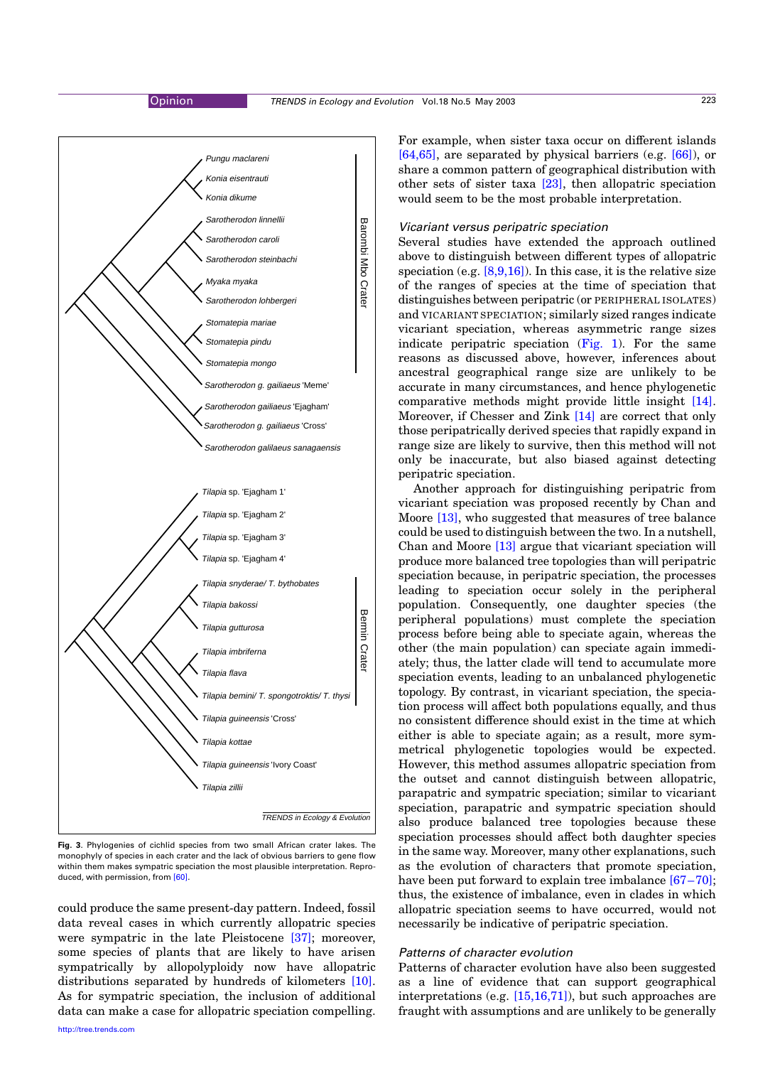<span id="page-3-0"></span>

Fig. 3. Phylogenies of cichlid species from two small African crater lakes. The monophyly of species in each crater and the lack of obvious barriers to gene flow within them makes sympatric speciation the most plausible interpretation. Reproduced, with permission, from [\[60\]](#page-7-0).

could produce the same present-day pattern. Indeed, fossil data reveal cases in which currently allopatric species were sympatric in the late Pleistocene [\[37\]](#page-6-0); moreover, some species of plants that are likely to have arisen sympatrically by allopolyploidy now have allopatric distributions separated by hundreds of kilometers [\[10\]](#page-6-0). As for sympatric speciation, the inclusion of additional data can make a case for allopatric speciation compelling. For example, when sister taxa occur on different islands [\[64,65\],](#page-7-0) are separated by physical barriers (e.g. [\[66\]](#page-7-0)), or share a common pattern of geographical distribution with other sets of sister taxa [\[23\],](#page-6-0) then allopatric speciation would seem to be the most probable interpretation.

# Vicariant versus peripatric speciation

Several studies have extended the approach outlined above to distinguish between different types of allopatric speciation (e.g.  $[8,9,16]$ ). In this case, it is the relative size of the ranges of species at the time of speciation that distinguishes between peripatric (or PERIPHERAL ISOLATES) and VICARIANT SPECIATION; similarly sized ranges indicate vicariant speciation, whereas asymmetric range sizes indicate peripatric speciation  $(Fig. 1)$  $(Fig. 1)$  $(Fig. 1)$ . For the same reasons as discussed above, however, inferences about ancestral geographical range size are unlikely to be accurate in many circumstances, and hence phylogenetic comparative methods might provide little insight [\[14\]](#page-6-0). Moreover, if Chesser and Zink [\[14\]](#page-6-0) are correct that only those peripatrically derived species that rapidly expand in range size are likely to survive, then this method will not only be inaccurate, but also biased against detecting peripatric speciation.

Another approach for distinguishing peripatric from vicariant speciation was proposed recently by Chan and Moore [\[13\],](#page-6-0) who suggested that measures of tree balance could be used to distinguish between the two. In a nutshell, Chan and Moore [\[13\]](#page-6-0) argue that vicariant speciation will produce more balanced tree topologies than will peripatric speciation because, in peripatric speciation, the processes leading to speciation occur solely in the peripheral population. Consequently, one daughter species (the peripheral populations) must complete the speciation process before being able to speciate again, whereas the other (the main population) can speciate again immediately; thus, the latter clade will tend to accumulate more speciation events, leading to an unbalanced phylogenetic topology. By contrast, in vicariant speciation, the speciation process will affect both populations equally, and thus no consistent difference should exist in the time at which either is able to speciate again; as a result, more symmetrical phylogenetic topologies would be expected. However, this method assumes allopatric speciation from the outset and cannot distinguish between allopatric, parapatric and sympatric speciation; similar to vicariant speciation, parapatric and sympatric speciation should also produce balanced tree topologies because these speciation processes should affect both daughter species in the same way. Moreover, many other explanations, such as the evolution of characters that promote speciation, have been put forward to explain tree imbalance [67-70]; thus, the existence of imbalance, even in clades in which allopatric speciation seems to have occurred, would not necessarily be indicative of peripatric speciation.

# Patterns of character evolution

Patterns of character evolution have also been suggested as a line of evidence that can support geographical interpretations (e.g. [\[15,16,71\]\)](#page-6-0), but such approaches are fraught with assumptions and are unlikely to be generally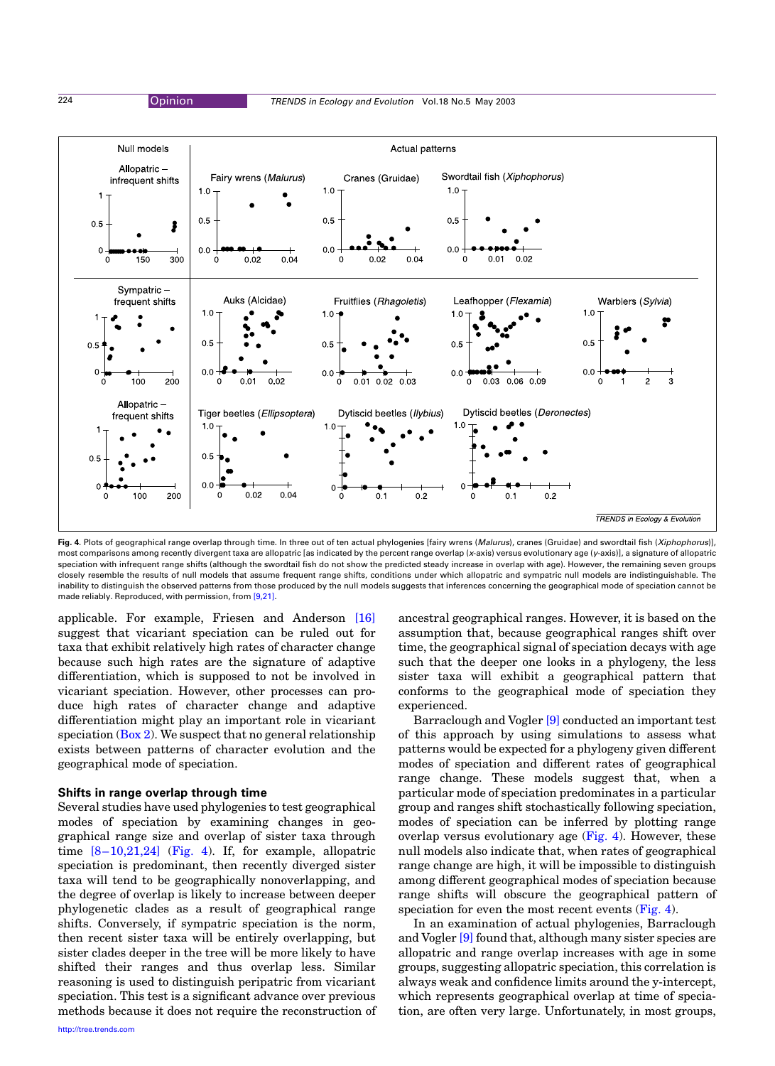<span id="page-4-0"></span>

Fig. 4. Plots of geographical range overlap through time. In three out of ten actual phylogenies [fairy wrens (Malurus), cranes (Gruidae) and swordtail fish (Xiphophorus)], most comparisons among recently divergent taxa are allopatric [as indicated by the percent range overlap (x-axis) versus evolutionary age (y-axis)], a signature of allopatric speciation with infrequent range shifts (although the swordtail fish do not show the predicted steady increase in overlap with age). However, the remaining seven groups closely resemble the results of null models that assume frequent range shifts, conditions under which allopatric and sympatric null models are indistinguishable. The inability to distinguish the observed patterns from those produced by the null models suggests that inferences concerning the geographical mode of speciation cannot be made reliably. Reproduced, with permission, from [\[9,21\].](#page-6-0)

applicable. For example, Friesen and Anderson [\[16\]](#page-6-0) suggest that vicariant speciation can be ruled out for taxa that exhibit relatively high rates of character change because such high rates are the signature of adaptive differentiation, which is supposed to not be involved in vicariant speciation. However, other processes can produce high rates of character change and adaptive differentiation might play an important role in vicariant speciation  $(Box 2)$  $(Box 2)$ . We suspect that no general relationship exists between patterns of character evolution and the geographical mode of speciation.

## Shifts in range overlap through time

Several studies have used phylogenies to test geographical modes of speciation by examining changes in geographical range size and overlap of sister taxa through time  $[8-10,21,24]$  (Fig. 4). If, for example, allopatric speciation is predominant, then recently diverged sister taxa will tend to be geographically nonoverlapping, and the degree of overlap is likely to increase between deeper phylogenetic clades as a result of geographical range shifts. Conversely, if sympatric speciation is the norm, then recent sister taxa will be entirely overlapping, but sister clades deeper in the tree will be more likely to have shifted their ranges and thus overlap less. Similar reasoning is used to distinguish peripatric from vicariant speciation. This test is a significant advance over previous methods because it does not require the reconstruction of ancestral geographical ranges. However, it is based on the assumption that, because geographical ranges shift over time, the geographical signal of speciation decays with age such that the deeper one looks in a phylogeny, the less sister taxa will exhibit a geographical pattern that conforms to the geographical mode of speciation they experienced.

Barraclough and Vogler [\[9\]](#page-6-0) conducted an important test of this approach by using simulations to assess what patterns would be expected for a phylogeny given different modes of speciation and different rates of geographical range change. These models suggest that, when a particular mode of speciation predominates in a particular group and ranges shift stochastically following speciation, modes of speciation can be inferred by plotting range overlap versus evolutionary age (Fig. 4). However, these null models also indicate that, when rates of geographical range change are high, it will be impossible to distinguish among different geographical modes of speciation because range shifts will obscure the geographical pattern of speciation for even the most recent events  $(Fig. 4)$ .

In an examination of actual phylogenies, Barraclough and Vogler [\[9\]](#page-6-0) found that, although many sister species are allopatric and range overlap increases with age in some groups, suggesting allopatric speciation, this correlation is always weak and confidence limits around the y-intercept, which represents geographical overlap at time of speciation, are often very large. Unfortunately, in most groups,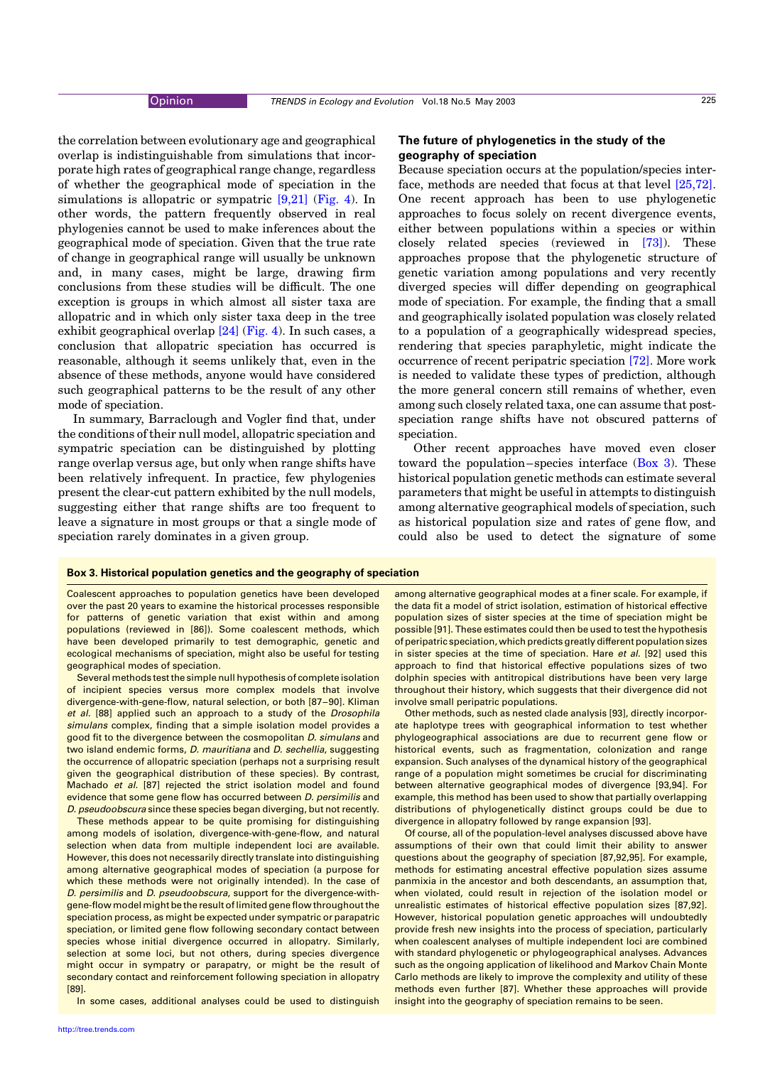the correlation between evolutionary age and geographical overlap is indistinguishable from simulations that incorporate high rates of geographical range change, regardless of whether the geographical mode of speciation in the simulations is allopatric or sympatric  $[9,21]$  ([Fig. 4](#page-4-0)). In other words, the pattern frequently observed in real phylogenies cannot be used to make inferences about the geographical mode of speciation. Given that the true rate of change in geographical range will usually be unknown and, in many cases, might be large, drawing firm conclusions from these studies will be difficult. The one exception is groups in which almost all sister taxa are allopatric and in which only sister taxa deep in the tree exhibit geographical overlap [\[24\]](#page-6-0) ([Fig. 4\)](#page-4-0). In such cases, a conclusion that allopatric speciation has occurred is reasonable, although it seems unlikely that, even in the absence of these methods, anyone would have considered such geographical patterns to be the result of any other mode of speciation.

In summary, Barraclough and Vogler find that, under the conditions of their null model, allopatric speciation and sympatric speciation can be distinguished by plotting range overlap versus age, but only when range shifts have been relatively infrequent. In practice, few phylogenies present the clear-cut pattern exhibited by the null models, suggesting either that range shifts are too frequent to leave a signature in most groups or that a single mode of speciation rarely dominates in a given group.

#### The future of phylogenetics in the study of the geography of speciation

Because speciation occurs at the population/species interface, methods are needed that focus at that level [\[25,72\]](#page-6-0). One recent approach has been to use phylogenetic approaches to focus solely on recent divergence events, either between populations within a species or within closely related species (reviewed in [\[73\]](#page-7-0)). These approaches propose that the phylogenetic structure of genetic variation among populations and very recently diverged species will differ depending on geographical mode of speciation. For example, the finding that a small and geographically isolated population was closely related to a population of a geographically widespread species, rendering that species paraphyletic, might indicate the occurrence of recent peripatric speciation [\[72\].](#page-7-0) More work is needed to validate these types of prediction, although the more general concern still remains of whether, even among such closely related taxa, one can assume that postspeciation range shifts have not obscured patterns of speciation.

Other recent approaches have moved even closer toward the population–species interface  $(Box 3)$ . These historical population genetic methods can estimate several parameters that might be useful in attempts to distinguish among alternative geographical models of speciation, such as historical population size and rates of gene flow, and could also be used to detect the signature of some

#### Box 3. Historical population genetics and the geography of speciation

Coalescent approaches to population genetics have been developed over the past 20 years to examine the historical processes responsible for patterns of genetic variation that exist within and among populations (reviewed in [86]). Some coalescent methods, which have been developed primarily to test demographic, genetic and ecological mechanisms of speciation, might also be useful for testing geographical modes of speciation.

Several methods test the simple null hypothesis of complete isolation of incipient species versus more complex models that involve divergence-with-gene-flow, natural selection, or both [87–90]. Kliman et al. [88] applied such an approach to a study of the Drosophila simulans complex, finding that a simple isolation model provides a good fit to the divergence between the cosmopolitan *D. simulans* and two island endemic forms, *D. mauritiana* and *D. sechellia*, suggesting the occurrence of allopatric speciation (perhaps not a surprising result given the geographical distribution of these species). By contrast, Machado et al. [87] rejected the strict isolation model and found evidence that some gene flow has occurred between D. persimilis and D. pseudoobscura since these species began diverging, but not recently.

These methods appear to be quite promising for distinguishing among models of isolation, divergence-with-gene-flow, and natural selection when data from multiple independent loci are available. However, this does not necessarily directly translate into distinguishing among alternative geographical modes of speciation (a purpose for which these methods were not originally intended). In the case of D. persimilis and D. pseudoobscura, support for the divergence-withgene-flow model might be the result of limited gene flow throughout the speciation process, as might be expected under sympatric or parapatric speciation, or limited gene flow following secondary contact between species whose initial divergence occurred in allopatry. Similarly, selection at some loci, but not others, during species divergence might occur in sympatry or parapatry, or might be the result of secondary contact and reinforcement following speciation in allopatry [89].

In some cases, additional analyses could be used to distinguish

among alternative geographical modes at a finer scale. For example, if the data fit a model of strict isolation, estimation of historical effective population sizes of sister species at the time of speciation might be possible [91]. These estimates could then be used to test the hypothesis of peripatric speciation, which predicts greatly different population sizes in sister species at the time of speciation. Hare et al. [92] used this approach to find that historical effective populations sizes of two dolphin species with antitropical distributions have been very large throughout their history, which suggests that their divergence did not involve small peripatric populations.

Other methods, such as nested clade analysis [93], directly incorporate haplotype trees with geographical information to test whether phylogeographical associations are due to recurrent gene flow or historical events, such as fragmentation, colonization and range expansion. Such analyses of the dynamical history of the geographical range of a population might sometimes be crucial for discriminating between alternative geographical modes of divergence [93,94]. For example, this method has been used to show that partially overlapping distributions of phylogenetically distinct groups could be due to divergence in allopatry followed by range expansion [93].

Of course, all of the population-level analyses discussed above have assumptions of their own that could limit their ability to answer questions about the geography of speciation [87,92,95]. For example, methods for estimating ancestral effective population sizes assume panmixia in the ancestor and both descendants, an assumption that, when violated, could result in rejection of the isolation model or unrealistic estimates of historical effective population sizes [87,92]. However, historical population genetic approaches will undoubtedly provide fresh new insights into the process of speciation, particularly when coalescent analyses of multiple independent loci are combined with standard phylogenetic or phylogeographical analyses. Advances such as the ongoing application of likelihood and Markov Chain Monte Carlo methods are likely to improve the complexity and utility of these methods even further [87]. Whether these approaches will provide insight into the geography of speciation remains to be seen.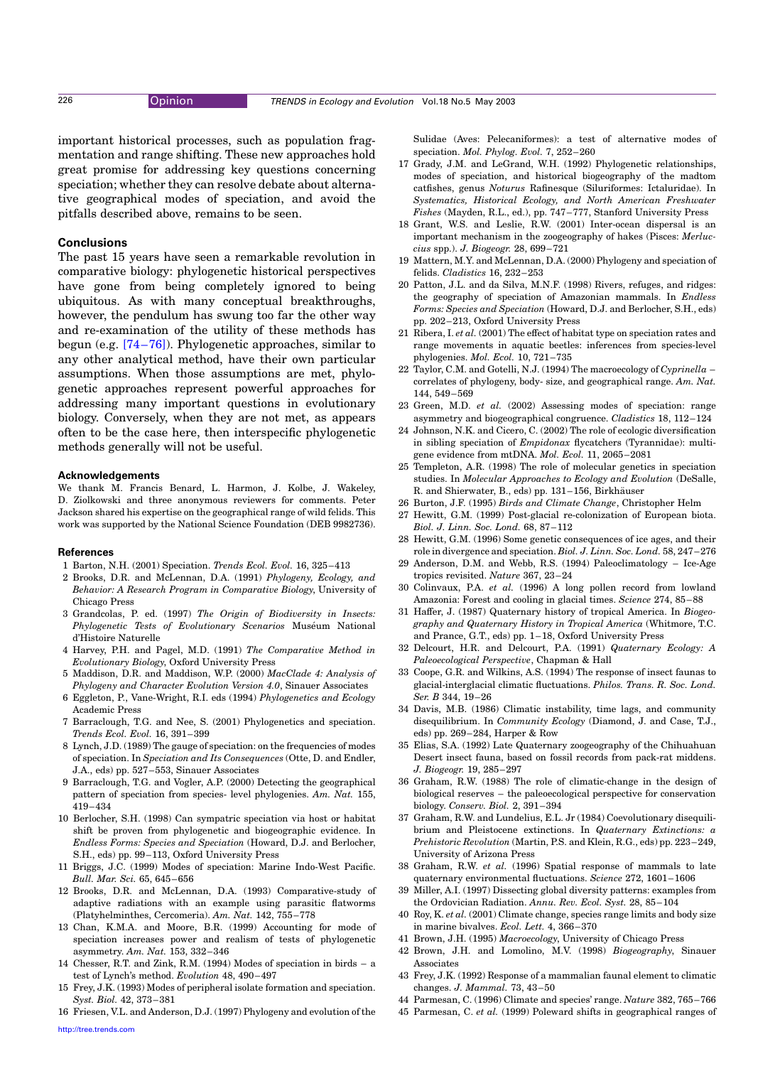important historical processes, such as population fragmentation and range shifting. These new approaches hold great promise for addressing key questions concerning speciation; whether they can resolve debate about alternative geographical modes of speciation, and avoid the pitfalls described above, remains to be seen.

#### **Conclusions**

The past 15 years have seen a remarkable revolution in comparative biology: phylogenetic historical perspectives have gone from being completely ignored to being ubiquitous. As with many conceptual breakthroughs, however, the pendulum has swung too far the other way and re-examination of the utility of these methods has begun (e.g. [\[74–76\]](#page-7-0)). Phylogenetic approaches, similar to any other analytical method, have their own particular assumptions. When those assumptions are met, phylogenetic approaches represent powerful approaches for addressing many important questions in evolutionary biology. Conversely, when they are not met, as appears often to be the case here, then interspecific phylogenetic methods generally will not be useful.

#### Acknowledgements

We thank M. Francis Benard, L. Harmon, J. Kolbe, J. Wakeley, D. Ziolkowski and three anonymous reviewers for comments. Peter Jackson shared his expertise on the geographical range of wild felids. This work was supported by the National Science Foundation (DEB 9982736).

#### References

- 1 Barton, N.H. (2001) Speciation. Trends Ecol. Evol. 16, 325–413
- 2 Brooks, D.R. and McLennan, D.A. (1991) Phylogeny, Ecology, and Behavior: A Research Program in Comparative Biology, University of Chicago Press
- 3 Grandcolas, P. ed. (1997) The Origin of Biodiversity in Insects: Phylogenetic Tests of Evolutionary Scenarios Muséum National d'Histoire Naturelle
- 4 Harvey, P.H. and Pagel, M.D. (1991) The Comparative Method in Evolutionary Biology, Oxford University Press
- 5 Maddison, D.R. and Maddison, W.P. (2000) MacClade 4: Analysis of Phylogeny and Character Evolution Version 4.0, Sinauer Associates
- 6 Eggleton, P., Vane-Wright, R.I. eds (1994) Phylogenetics and Ecology Academic Press
- 7 Barraclough, T.G. and Nee, S. (2001) Phylogenetics and speciation. Trends Ecol. Evol. 16, 391–399
- 8 Lynch, J.D. (1989) The gauge of speciation: on the frequencies of modes of speciation. In Speciation and Its Consequences (Otte, D. and Endler, J.A., eds) pp. 527–553, Sinauer Associates
- 9 Barraclough, T.G. and Vogler, A.P. (2000) Detecting the geographical pattern of speciation from species- level phylogenies. Am. Nat. 155, 419–434
- 10 Berlocher, S.H. (1998) Can sympatric speciation via host or habitat shift be proven from phylogenetic and biogeographic evidence. In Endless Forms: Species and Speciation (Howard, D.J. and Berlocher, S.H., eds) pp. 99–113, Oxford University Press
- 11 Briggs, J.C. (1999) Modes of speciation: Marine Indo-West Pacific. Bull. Mar. Sci. 65, 645–656
- 12 Brooks, D.R. and McLennan, D.A. (1993) Comparative-study of adaptive radiations with an example using parasitic flatworms (Platyhelminthes, Cercomeria). Am. Nat. 142, 755–778
- 13 Chan, K.M.A. and Moore, B.R. (1999) Accounting for mode of speciation increases power and realism of tests of phylogenetic asymmetry. Am. Nat. 153, 332–346
- 14 Chesser, R.T. and Zink, R.M. (1994) Modes of speciation in birds a test of Lynch's method. Evolution 48, 490–497
- 15 Frey, J.K. (1993) Modes of peripheral isolate formation and speciation. Syst. Biol. 42, 373–381
- 16 Friesen, V.L. and Anderson, D.J. (1997) Phylogeny and evolution of the

Sulidae (Aves: Pelecaniformes): a test of alternative modes of speciation. Mol. Phylog. Evol. 7, 252–260

- 17 Grady, J.M. and LeGrand, W.H. (1992) Phylogenetic relationships, modes of speciation, and historical biogeography of the madtom catfishes, genus Noturus Rafinesque (Siluriformes: Ictaluridae). In Systematics, Historical Ecology, and North American Freshwater Fishes (Mayden, R.L., ed.), pp. 747–777, Stanford University Press
- 18 Grant, W.S. and Leslie, R.W. (2001) Inter-ocean dispersal is an important mechanism in the zoogeography of hakes (Pisces: Merluccius spp.). J. Biogeogr. 28, 699–721
- 19 Mattern, M.Y. and McLennan, D.A. (2000) Phylogeny and speciation of felids. Cladistics 16, 232–253
- 20 Patton, J.L. and da Silva, M.N.F. (1998) Rivers, refuges, and ridges: the geography of speciation of Amazonian mammals. In Endless Forms: Species and Speciation (Howard, D.J. and Berlocher, S.H., eds) pp. 202–213, Oxford University Press
- 21 Ribera, I. et al. (2001) The effect of habitat type on speciation rates and range movements in aquatic beetles: inferences from species-level phylogenies. Mol. Ecol. 10, 721–735
- 22 Taylor, C.M. and Gotelli, N.J. (1994) The macroecology of Cyprinella correlates of phylogeny, body- size, and geographical range. Am. Nat. 144, 549–569
- 23 Green, M.D. et al. (2002) Assessing modes of speciation: range asymmetry and biogeographical congruence. Cladistics 18, 112–124
- 24 Johnson, N.K. and Cicero, C. (2002) The role of ecologic diversification in sibling speciation of Empidonax flycatchers (Tyrannidae): multigene evidence from mtDNA. Mol. Ecol. 11, 2065–2081
- 25 Templeton, A.R. (1998) The role of molecular genetics in speciation studies. In Molecular Approaches to Ecology and Evolution (DeSalle, R. and Shierwater, B., eds) pp. 131–156, Birkhäuser
- 26 Burton, J.F. (1995) Birds and Climate Change, Christopher Helm
- 27 Hewitt, G.M. (1999) Post-glacial re-colonization of European biota. Biol. J. Linn. Soc. Lond. 68, 87–112
- 28 Hewitt, G.M. (1996) Some genetic consequences of ice ages, and their role in divergence and speciation. Biol. J. Linn. Soc. Lond. 58, 247–276
- 29 Anderson, D.M. and Webb, R.S. (1994) Paleoclimatology Ice-Age tropics revisited. Nature 367, 23–24
- 30 Colinvaux, P.A. et al. (1996) A long pollen record from lowland Amazonia: Forest and cooling in glacial times. Science 274, 85–88
- 31 Haffer, J. (1987) Quaternary history of tropical America. In Biogeography and Quaternary History in Tropical America (Whitmore, T.C. and Prance, G.T., eds) pp. 1–18, Oxford University Press
- 32 Delcourt, H.R. and Delcourt, P.A. (1991) Quaternary Ecology: A Paleoecological Perspective, Chapman & Hall
- 33 Coope, G.R. and Wilkins, A.S. (1994) The response of insect faunas to glacial-interglacial climatic fluctuations. Philos. Trans. R. Soc. Lond. Ser. B 344, 19–26
- 34 Davis, M.B. (1986) Climatic instability, time lags, and community disequilibrium. In Community Ecology (Diamond, J. and Case, T.J., eds) pp. 269–284, Harper & Row
- 35 Elias, S.A. (1992) Late Quaternary zoogeography of the Chihuahuan Desert insect fauna, based on fossil records from pack-rat middens. J. Biogeogr. 19, 285–297
- 36 Graham, R.W. (1988) The role of climatic-change in the design of biological reserves – the paleoecological perspective for conservation biology. Conserv. Biol. 2, 391–394
- 37 Graham, R.W. and Lundelius, E.L. Jr (1984) Coevolutionary disequilibrium and Pleistocene extinctions. In Quaternary Extinctions: a Prehistoric Revolution (Martin, P.S. and Klein, R.G., eds) pp. 223–249, University of Arizona Press
- 38 Graham, R.W. et al. (1996) Spatial response of mammals to late quaternary environmental fluctuations. Science 272, 1601–1606
- 39 Miller, A.I. (1997) Dissecting global diversity patterns: examples from the Ordovician Radiation. Annu. Rev. Ecol. Syst. 28, 85–104
- 40 Roy, K. et al. (2001) Climate change, species range limits and body size in marine bivalves. Ecol. Lett. 4, 366–370
- 41 Brown, J.H. (1995) Macroecology, University of Chicago Press
- 42 Brown, J.H. and Lomolino, M.V. (1998) Biogeography, Sinauer Associates
- 43 Frey, J.K. (1992) Response of a mammalian faunal element to climatic changes. J. Mammal. 73, 43–50
- 44 Parmesan, C. (1996) Climate and species' range. Nature 382, 765–766
- 45 Parmesan, C. et al. (1999) Poleward shifts in geographical ranges of

<span id="page-6-0"></span>